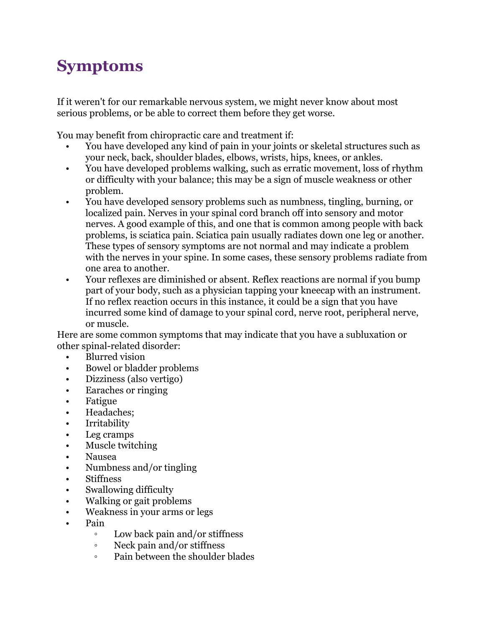## **Symptoms**

If it weren't for our remarkable nervous system, we might never know about most serious problems, or be able to correct them before they get worse.

You may benefit from chiropractic care and treatment if:

- You have developed any kind of pain in your joints or skeletal structures such as your neck, back, shoulder blades, elbows, wrists, hips, knees, or ankles.
- You have developed problems walking, such as erratic movement, loss of rhythm or difficulty with your balance; this may be a sign of muscle weakness or other problem.
- You have developed sensory problems such as numbness, tingling, burning, or localized pain. Nerves in your spinal cord branch off into sensory and motor nerves. A good example of this, and one that is common among people with back problems, is sciatica pain. Sciatica pain usually radiates down one leg or another. These types of sensory symptoms are not normal and may indicate a problem with the nerves in your spine. In some cases, these sensory problems radiate from one area to another.
- Your reflexes are diminished or absent. Reflex reactions are normal if you bump part of your body, such as a physician tapping your kneecap with an instrument. If no reflex reaction occurs in this instance, it could be a sign that you have incurred some kind of damage to your spinal cord, nerve root, peripheral nerve, or muscle.

Here are some common symptoms that may indicate that you have a subluxation or other spinal-related disorder:

- Blurred vision
- Bowel or bladder problems
- Dizziness (also vertigo)
- Earaches or ringing
- Fatigue
- Headaches;
- Irritability
- Leg cramps
- Muscle twitching
- Nausea
- Numbness and/or tingling
- **Stiffness**
- Swallowing difficulty
- Walking or gait problems
- Weakness in your arms or legs
- Pain
	- Low back pain and/or stiffness
	- Neck pain and/or stiffness
	- Pain between the shoulder blades